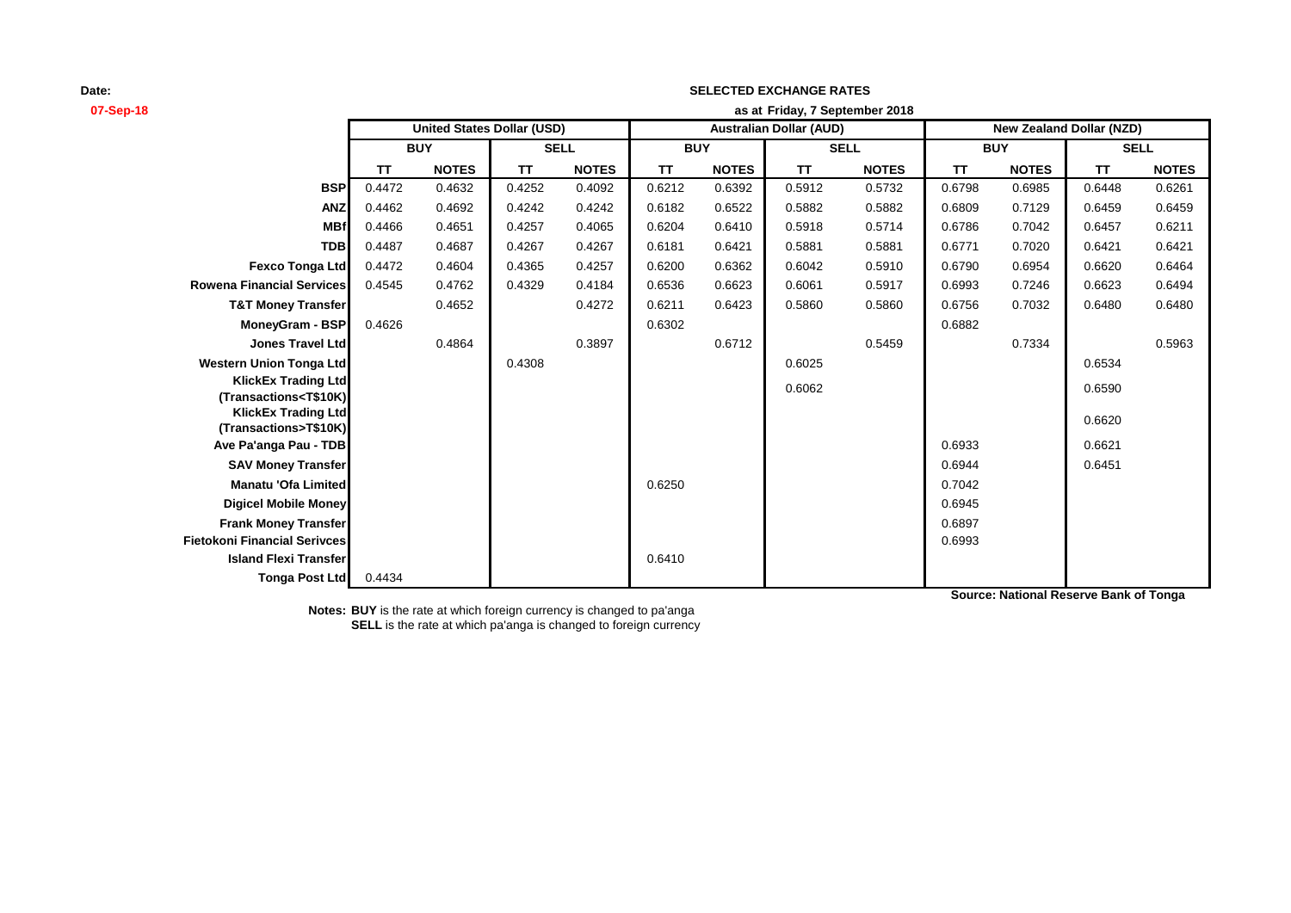| 07-Sep-18                                                                                                                                             | as at Friday, 7 September 2018 |                                   |             |              |                                |              |             |              |                                 |              |             |              |
|-------------------------------------------------------------------------------------------------------------------------------------------------------|--------------------------------|-----------------------------------|-------------|--------------|--------------------------------|--------------|-------------|--------------|---------------------------------|--------------|-------------|--------------|
|                                                                                                                                                       |                                | <b>United States Dollar (USD)</b> |             |              | <b>Australian Dollar (AUD)</b> |              |             |              | <b>New Zealand Dollar (NZD)</b> |              |             |              |
|                                                                                                                                                       | <b>BUY</b>                     |                                   | <b>SELL</b> |              | <b>BUY</b>                     |              | <b>SELL</b> |              | <b>BUY</b>                      |              | <b>SELL</b> |              |
|                                                                                                                                                       | <b>TT</b>                      | <b>NOTES</b>                      | <b>TT</b>   | <b>NOTES</b> | TT                             | <b>NOTES</b> | <b>TT</b>   | <b>NOTES</b> | <b>TT</b>                       | <b>NOTES</b> | <b>TT</b>   | <b>NOTES</b> |
| <b>BSP</b>                                                                                                                                            | 0.4472                         | 0.4632                            | 0.4252      | 0.4092       | 0.6212                         | 0.6392       | 0.5912      | 0.5732       | 0.6798                          | 0.6985       | 0.6448      | 0.6261       |
| <b>ANZ</b>                                                                                                                                            | 0.4462                         | 0.4692                            | 0.4242      | 0.4242       | 0.6182                         | 0.6522       | 0.5882      | 0.5882       | 0.6809                          | 0.7129       | 0.6459      | 0.6459       |
| <b>MBf</b>                                                                                                                                            | 0.4466                         | 0.4651                            | 0.4257      | 0.4065       | 0.6204                         | 0.6410       | 0.5918      | 0.5714       | 0.6786                          | 0.7042       | 0.6457      | 0.6211       |
| <b>TDB</b>                                                                                                                                            | 0.4487                         | 0.4687                            | 0.4267      | 0.4267       | 0.6181                         | 0.6421       | 0.5881      | 0.5881       | 0.6771                          | 0.7020       | 0.6421      | 0.6421       |
| <b>Fexco Tonga Ltd</b>                                                                                                                                | 0.4472                         | 0.4604                            | 0.4365      | 0.4257       | 0.6200                         | 0.6362       | 0.6042      | 0.5910       | 0.6790                          | 0.6954       | 0.6620      | 0.6464       |
| <b>Rowena Financial Services</b>                                                                                                                      | 0.4545                         | 0.4762                            | 0.4329      | 0.4184       | 0.6536                         | 0.6623       | 0.6061      | 0.5917       | 0.6993                          | 0.7246       | 0.6623      | 0.6494       |
| <b>T&amp;T Money Transfer</b>                                                                                                                         |                                | 0.4652                            |             | 0.4272       | 0.6211                         | 0.6423       | 0.5860      | 0.5860       | 0.6756                          | 0.7032       | 0.6480      | 0.6480       |
| MoneyGram - BSP                                                                                                                                       | 0.4626                         |                                   |             |              | 0.6302                         |              |             |              | 0.6882                          |              |             |              |
| <b>Jones Travel Ltd</b>                                                                                                                               |                                | 0.4864                            |             | 0.3897       |                                | 0.6712       |             | 0.5459       |                                 | 0.7334       |             | 0.5963       |
| <b>Western Union Tonga Ltd</b>                                                                                                                        |                                |                                   | 0.4308      |              |                                |              | 0.6025      |              |                                 |              | 0.6534      |              |
| <b>KlickEx Trading Ltd</b>                                                                                                                            |                                |                                   |             |              |                                |              | 0.6062      |              |                                 |              | 0.6590      |              |
| (Transactions <t\$10k)< th=""><th></th><th></th><th></th><th></th><th></th><th></th><th></th><th></th><th></th><th></th><th></th><th></th></t\$10k)<> |                                |                                   |             |              |                                |              |             |              |                                 |              |             |              |
| <b>KlickEx Trading Ltd</b><br>(Transactions>T\$10K)                                                                                                   |                                |                                   |             |              |                                |              |             |              |                                 |              | 0.6620      |              |
| Ave Pa'anga Pau - TDB                                                                                                                                 |                                |                                   |             |              |                                |              |             |              | 0.6933                          |              | 0.6621      |              |
| <b>SAV Money Transfer</b>                                                                                                                             |                                |                                   |             |              |                                |              |             |              | 0.6944                          |              | 0.6451      |              |
| Manatu 'Ofa Limited                                                                                                                                   |                                |                                   |             |              | 0.6250                         |              |             |              | 0.7042                          |              |             |              |
| <b>Digicel Mobile Money</b>                                                                                                                           |                                |                                   |             |              |                                |              |             |              | 0.6945                          |              |             |              |
| <b>Frank Money Transfer</b>                                                                                                                           |                                |                                   |             |              |                                |              |             |              | 0.6897                          |              |             |              |
| <b>Fietokoni Financial Serivces</b>                                                                                                                   |                                |                                   |             |              |                                |              |             |              | 0.6993                          |              |             |              |
| <b>Island Flexi Transfer</b>                                                                                                                          |                                |                                   |             |              | 0.6410                         |              |             |              |                                 |              |             |              |
| <b>Tonga Post Ltd</b>                                                                                                                                 | 0.4434                         |                                   |             |              |                                |              |             |              |                                 |              |             |              |

**SELECTED EXCHANGE RATES**

**Notes: BUY** is the rate at which foreign currency is changed to pa'anga **SELL** is the rate at which pa'anga is changed to foreign currency **Source: National Reserve Bank of Tonga**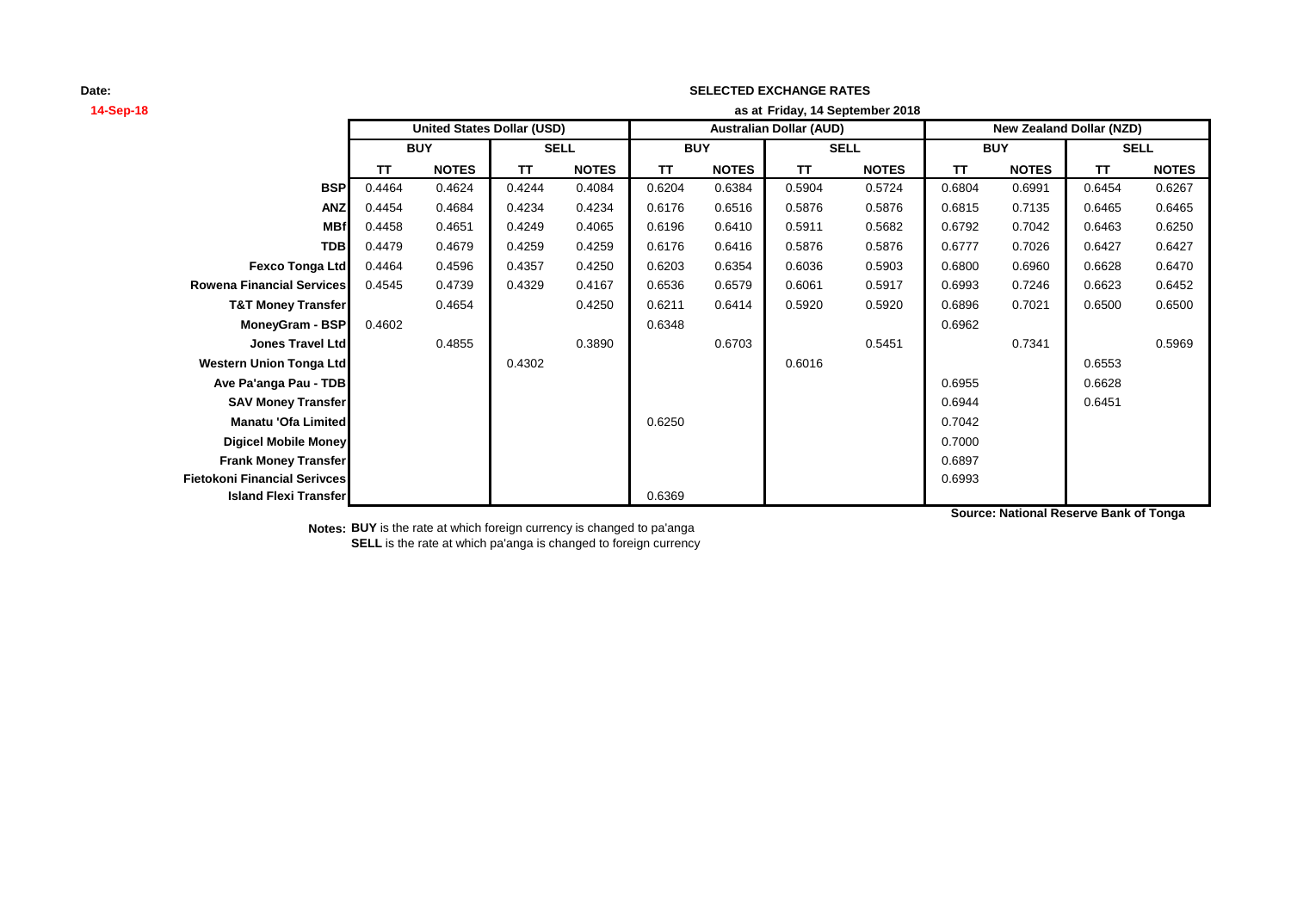# **14-Sep-18 as at TT NOTES TT NOTES TT NOTES TT NOTES TT NOTES TT NOTES BSP** 0.4464 0.4624 0.4244 0.4084 0.6204 0.6384 0.5904 0.5724 0.6804 0.6991 0.6454 0.6267 **ANZ** 0.4454 0.4684 0.4234 0.4234 0.6176 0.6516 0.5876 0.5876 0.6815 0.7135 0.6465 0.6465 **MBf** 0.4458 0.4651 0.4249 0.4065 0.6196 0.6410 0.5911 0.5682 0.6792 0.7042 0.6463 0.6250 **TDB** 0.4479 0.4679 0.4259 0.4259 0.6176 0.6416 0.5876 0.5876 0.6777 0.7026 0.6427 0.6427 **Fexco Tonga Ltd** 0.4464 0.4596 0.4357 0.4250 0.6203 0.6354 0.6036 0.5903 0.6800 0.6960 0.6628 0.6470 **Rowena Financial Services** 0.4545 0.4739 0.4329 0.4167 0.6536 0.6579 0.6061 0.5917 0.6993 0.7246 0.6623 0.6452 **T&T Money Transfer** 0.4654 0.4250 0.6211 0.6414 0.5920 0.5920 0.6896 0.7021 0.6500 0.6500 **MoneyGram - BSP** 0.4602 0.6962 0.6962 0.6962 0.6962 **Jones Travel Ltd** 0.4855 0.3890 0.6703 0.5451 0.7341 0.5969 **Western Union Tonga Ltd** 0.4302 0.6016 0.6553 **Ave Pa'anga Pau - TDB** 0.6628 **SAV Money Transfer** 0.6944 0.6451 **Manatu 'Ofa Limited** 0.7042 **Digicel Mobile Money** 0.7000 **Frank Money Transfer** 2.6897 **Fietokoni Financial Serivces** 0.6993 **Island Flexi Transfer Contract Contract Contract Contract Contract Contract Contract Contract Contract Contract Contract Contract Contract Contract Contract Contract Contract Contract Contract Contract Contract Contract SELL United States Dollar (USD) Australian Dollar (AUD) New Zealand Dollar (NZD) BUY SELL BUY SELL BUY Friday, 14 September 2018**

**SELECTED EXCHANGE RATES**

**Source: National Reserve Bank of Tonga**

**Notes: BUY** is the rate at which foreign currency is changed to pa'anga **SELL** is the rate at which pa'anga is changed to foreign currency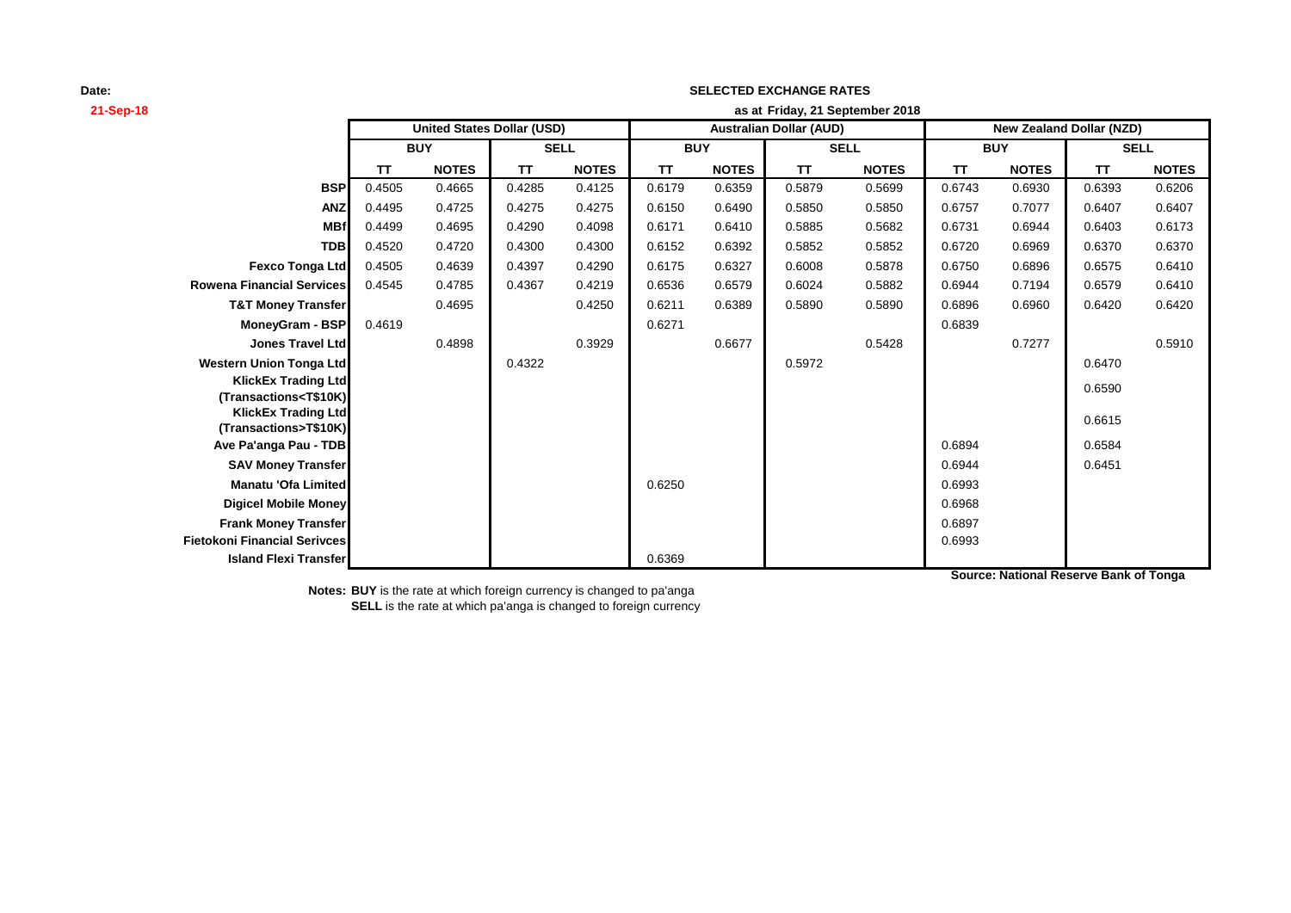| 21-Sep-18                                                         | as at Friday, 21 September 2018   |              |             |              |                                |              |             |              |                                 |              |             |              |
|-------------------------------------------------------------------|-----------------------------------|--------------|-------------|--------------|--------------------------------|--------------|-------------|--------------|---------------------------------|--------------|-------------|--------------|
|                                                                   | <b>United States Dollar (USD)</b> |              |             |              | <b>Australian Dollar (AUD)</b> |              |             |              | <b>New Zealand Dollar (NZD)</b> |              |             |              |
|                                                                   | <b>BUY</b>                        |              | <b>SELL</b> |              | <b>BUY</b>                     |              | <b>SELL</b> |              | <b>BUY</b>                      |              | <b>SELL</b> |              |
|                                                                   | <b>TT</b>                         | <b>NOTES</b> | <b>TT</b>   | <b>NOTES</b> | <b>TT</b>                      | <b>NOTES</b> | <b>TT</b>   | <b>NOTES</b> | <b>TT</b>                       | <b>NOTES</b> | <b>TT</b>   | <b>NOTES</b> |
| <b>BSP</b>                                                        | 0.4505                            | 0.4665       | 0.4285      | 0.4125       | 0.6179                         | 0.6359       | 0.5879      | 0.5699       | 0.6743                          | 0.6930       | 0.6393      | 0.6206       |
| <b>ANZ</b>                                                        | 0.4495                            | 0.4725       | 0.4275      | 0.4275       | 0.6150                         | 0.6490       | 0.5850      | 0.5850       | 0.6757                          | 0.7077       | 0.6407      | 0.6407       |
| <b>MBf</b>                                                        | 0.4499                            | 0.4695       | 0.4290      | 0.4098       | 0.6171                         | 0.6410       | 0.5885      | 0.5682       | 0.6731                          | 0.6944       | 0.6403      | 0.6173       |
| <b>TDB</b>                                                        | 0.4520                            | 0.4720       | 0.4300      | 0.4300       | 0.6152                         | 0.6392       | 0.5852      | 0.5852       | 0.6720                          | 0.6969       | 0.6370      | 0.6370       |
| <b>Fexco Tonga Ltd</b>                                            | 0.4505                            | 0.4639       | 0.4397      | 0.4290       | 0.6175                         | 0.6327       | 0.6008      | 0.5878       | 0.6750                          | 0.6896       | 0.6575      | 0.6410       |
| <b>Rowena Financial Services</b>                                  | 0.4545                            | 0.4785       | 0.4367      | 0.4219       | 0.6536                         | 0.6579       | 0.6024      | 0.5882       | 0.6944                          | 0.7194       | 0.6579      | 0.6410       |
| <b>T&amp;T Money Transfer</b>                                     |                                   | 0.4695       |             | 0.4250       | 0.6211                         | 0.6389       | 0.5890      | 0.5890       | 0.6896                          | 0.6960       | 0.6420      | 0.6420       |
| MoneyGram - BSP                                                   | 0.4619                            |              |             |              | 0.6271                         |              |             |              | 0.6839                          |              |             |              |
| <b>Jones Travel Ltd</b>                                           |                                   | 0.4898       |             | 0.3929       |                                | 0.6677       |             | 0.5428       |                                 | 0.7277       |             | 0.5910       |
| <b>Western Union Tonga Ltd</b>                                    |                                   |              | 0.4322      |              |                                |              | 0.5972      |              |                                 |              | 0.6470      |              |
| <b>KlickEx Trading Ltd</b>                                        |                                   |              |             |              |                                |              |             |              |                                 |              | 0.6590      |              |
| (Transactions <t\$10k)<br><b>KlickEx Trading Ltd</b></t\$10k)<br> |                                   |              |             |              |                                |              |             |              |                                 |              |             |              |
| (Transactions>T\$10K)                                             |                                   |              |             |              |                                |              |             |              |                                 |              | 0.6615      |              |
| Ave Pa'anga Pau - TDB                                             |                                   |              |             |              |                                |              |             |              | 0.6894                          |              | 0.6584      |              |
| <b>SAV Money Transfer</b>                                         |                                   |              |             |              |                                |              |             |              | 0.6944                          |              | 0.6451      |              |
| Manatu 'Ofa Limited                                               |                                   |              |             |              | 0.6250                         |              |             |              | 0.6993                          |              |             |              |
| <b>Digicel Mobile Money</b>                                       |                                   |              |             |              |                                |              |             |              | 0.6968                          |              |             |              |
| <b>Frank Money Transfer</b>                                       |                                   |              |             |              |                                |              |             |              | 0.6897                          |              |             |              |
| <b>Fietokoni Financial Serivces</b>                               |                                   |              |             |              |                                |              |             |              | 0.6993                          |              |             |              |
| <b>Island Flexi Transfer</b>                                      |                                   |              |             |              | 0.6369                         |              |             |              |                                 |              |             |              |

**SELECTED EXCHANGE RATES**

**Notes: BUY** is the rate at which foreign currency is changed to pa'anga **SELL** is the rate at which pa'anga is changed to foreign currency **Source: National Reserve Bank of Tonga**